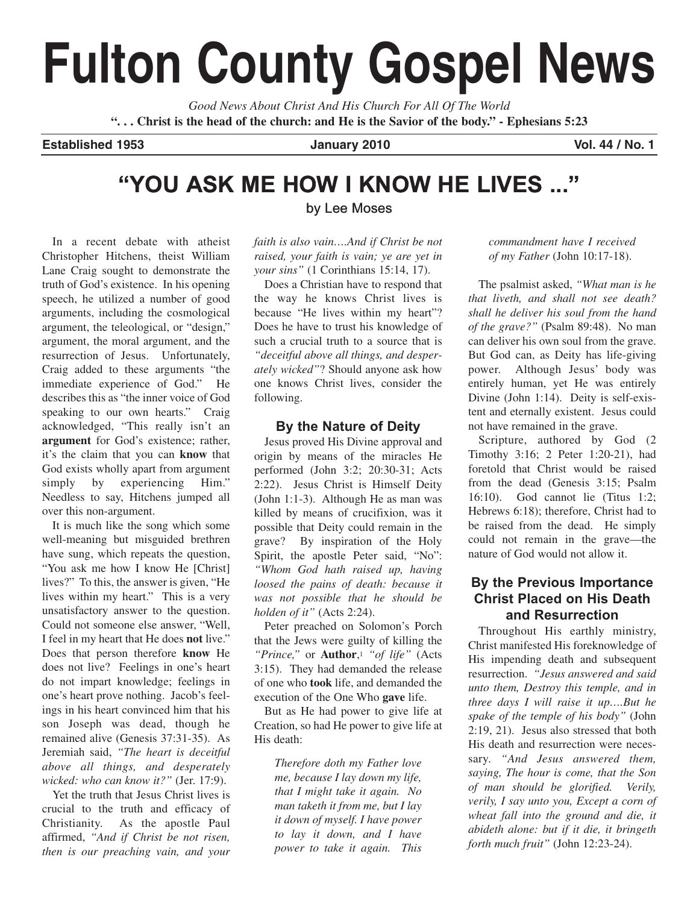# **Fulton County Gospel News**

*Good News About Christ And His Church For All Of The World* **". . . Christ is the head of the church: and He is the Savior of the body." - Ephesians 5:23**

**Established 1953 January 2010 Vol. 44 / No. 1**

# **"YOU ASK ME HOW I KNOW HE LIVES ..."**

In a recent debate with atheist Christopher Hitchens, theist William Lane Craig sought to demonstrate the truth of God's existence. In his opening speech, he utilized a number of good arguments, including the cosmological argument, the teleological, or "design," argument, the moral argument, and the resurrection of Jesus. Unfortunately, Craig added to these arguments "the immediate experience of God." He describes this as "the inner voice of God speaking to our own hearts." Craig acknowledged, "This really isn't an **argument** for God's existence; rather, it's the claim that you can **know** that God exists wholly apart from argument simply by experiencing Him." Needless to say, Hitchens jumped all over this non-argument.

It is much like the song which some well-meaning but misguided brethren have sung, which repeats the question, "You ask me how I know He [Christ] lives?" To this, the answer is given, "He lives within my heart." This is a very unsatisfactory answer to the question. Could not someone else answer, "Well I feel in my heart that He does **not** live." Does that person therefore **know** He does not live? Feelings in one's heart do not impart knowledge; feelings in one's heart prove nothing. Jacob's feelings in his heart convinced him that his son Joseph was dead, though he remained alive (Genesis 37:31-35). As Jeremiah said, *"The heart is deceitful above all things, and desperately wicked: who can know it?"* (Jer. 17:9).

Yet the truth that Jesus Christ lives is crucial to the truth and efficacy of Christianity. As the apostle Paul affirmed, *"And if Christ be not risen, then is our preaching vain, and your*

## by Lee Moses

*faith is also vain….And if Christ be not raised, your faith is vain; ye are yet in your sins"* (1 Corinthians 15:14, 17).

Does a Christian have to respond that the way he knows Christ lives is because "He lives within my heart"? Does he have to trust his knowledge of such a crucial truth to a source that is *"deceitful above all things, and desperately wicked"*? Should anyone ask how one knows Christ lives, consider the following.

## **By the Nature of Deity**

Jesus proved His Divine approval and origin by means of the miracles He performed (John 3:2; 20:30-31; Acts 2:22). Jesus Christ is Himself Deity (John 1:1-3). Although He as man was killed by means of crucifixion, was it possible that Deity could remain in the grave? By inspiration of the Holy Spirit, the apostle Peter said, "No": *"Whom God hath raised up, having loosed the pains of death: because it was not possible that he should be holden of it"* (Acts 2:24).

Peter preached on Solomon's Porch that the Jews were guilty of killing the *"Prince,"* or **Author**,1 *"of life"* (Acts 3:15). They had demanded the release of one who **took** life, and demanded the execution of the One Who **gave** life.

But as He had power to give life at Creation, so had He power to give life at His death:

*Therefore doth my Father love me, because I lay down my life, that I might take it again. No man taketh it from me, but I lay it down of myself. I have power to lay it down, and I have power to take it again. This* *commandment have I received of my Father* (John 10:17-18).

The psalmist asked, *"What man is he that liveth, and shall not see death? shall he deliver his soul from the hand of the grave?"* (Psalm 89:48). No man can deliver his own soul from the grave. But God can, as Deity has life-giving power. Although Jesus' body was entirely human, yet He was entirely Divine (John 1:14). Deity is self-existent and eternally existent. Jesus could not have remained in the grave.

Scripture, authored by God (2 Timothy 3:16; 2 Peter 1:20-21), had foretold that Christ would be raised from the dead (Genesis 3:15; Psalm 16:10). God cannot lie (Titus 1:2; Hebrews 6:18); therefore, Christ had to be raised from the dead. He simply could not remain in the grave—the nature of God would not allow it.

# **By the Previous Importance Christ Placed on His Death and Resurrection**

Throughout His earthly ministry, Christ manifested His foreknowledge of His impending death and subsequent resurrection. *"Jesus answered and said unto them, Destroy this temple, and in three days I will raise it up….But he spake of the temple of his body"* (John 2:19, 21). Jesus also stressed that both His death and resurrection were necessary. *"And Jesus answered them, saying, The hour is come, that the Son of man should be glorified. Verily, verily, I say unto you, Except a corn of wheat fall into the ground and die, it abideth alone: but if it die, it bringeth forth much fruit"* (John 12:23-24).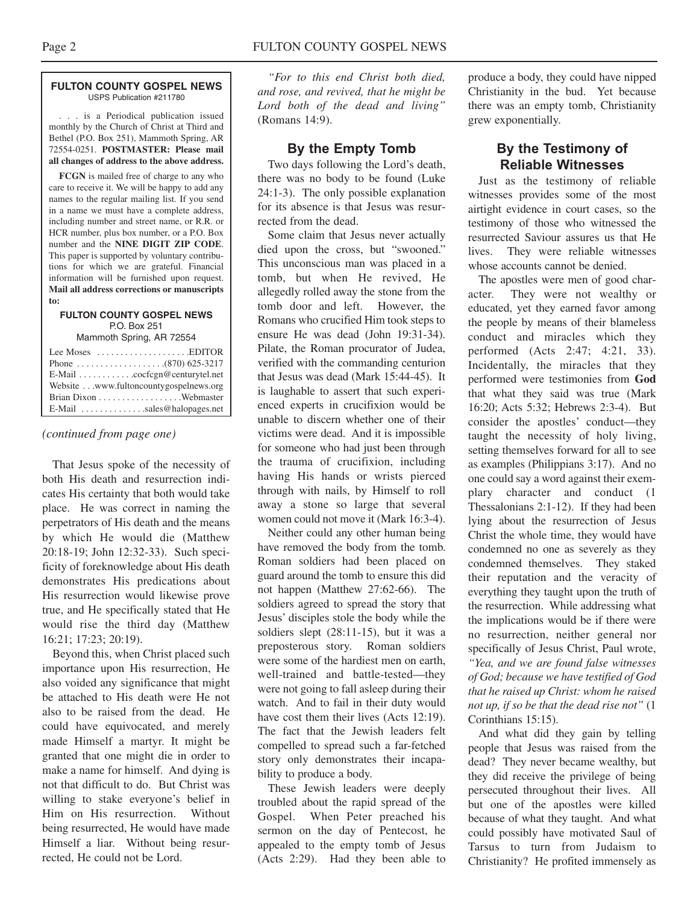#### **FULTON COUNTY GOSPEL NEWS** USPS Publication #211780

. . . is a Periodical publication issued monthly by the Church of Christ at Third and Bethel (P.O. Box 251), Mammoth Spring, AR 72554-0251. **POSTMASTER: Please mail all changes of address to the above address.**

**FCGN** is mailed free of charge to any who care to receive it. We will be happy to add any names to the regular mailing list. If you send in a name we must have a complete address, including number and street name, or R.R. or HCR number, plus box number, or a P.O. Box number and the **NINE DIGIT ZIP CODE**. This paper is supported by voluntary contributions for which we are grateful. Financial information will be furnished upon request. **Mail all address corrections or manuscripts to:**

#### **FULTON COUNTY GOSPEL NEWS** P.O. Box 251

Mammoth Spring, AR 72554

| Lee Moses $\dots\dots\dots\dots\dots\dots$ . EDITOR       |
|-----------------------------------------------------------|
|                                                           |
| $E$ -Mail $\ldots \ldots \ldots$ . cocfcgn@centurytel.net |
| Website www.fultoncountygospelnews.org                    |
|                                                           |
| E-Mail sales@halopages.net                                |

#### *(continued from page one)*

That Jesus spoke of the necessity of both His death and resurrection indicates His certainty that both would take place. He was correct in naming the perpetrators of His death and the means by which He would die (Matthew 20:18-19; John 12:32-33). Such specificity of foreknowledge about His death demonstrates His predications about His resurrection would likewise prove true, and He specifically stated that He would rise the third day (Matthew 16:21; 17:23; 20:19).

Beyond this, when Christ placed such importance upon His resurrection, He also voided any significance that might be attached to His death were He not also to be raised from the dead. He could have equivocated, and merely made Himself a martyr. It might be granted that one might die in order to make a name for himself. And dying is not that difficult to do. But Christ was willing to stake everyone's belief in Him on His resurrection. Without being resurrected, He would have made Himself a liar. Without being resurrected, He could not be Lord.

*"For to this end Christ both died, and rose, and revived, that he might be Lord both of the dead and living"* (Romans 14:9).

# **By the Empty Tomb**

Two days following the Lord's death, there was no body to be found (Luke 24:1-3). The only possible explanation for its absence is that Jesus was resurrected from the dead.

Some claim that Jesus never actually died upon the cross, but "swooned." This unconscious man was placed in a tomb, but when He revived, He allegedly rolled away the stone from the tomb door and left. However, the Romans who crucified Him took steps to ensure He was dead (John 19:31-34). Pilate, the Roman procurator of Judea, verified with the commanding centurion that Jesus was dead (Mark 15:44-45). It is laughable to assert that such experienced experts in crucifixion would be unable to discern whether one of their victims were dead. And it is impossible for someone who had just been through the trauma of crucifixion, including having His hands or wrists pierced through with nails, by Himself to roll away a stone so large that several women could not move it (Mark 16:3-4).

Neither could any other human being have removed the body from the tomb. Roman soldiers had been placed on guard around the tomb to ensure this did not happen (Matthew 27:62-66). The soldiers agreed to spread the story that Jesus' disciples stole the body while the soldiers slept (28:11-15), but it was a preposterous story. Roman soldiers were some of the hardiest men on earth, well-trained and battle-tested—they were not going to fall asleep during their watch. And to fail in their duty would have cost them their lives (Acts 12:19). The fact that the Jewish leaders felt compelled to spread such a far-fetched story only demonstrates their incapability to produce a body.

These Jewish leaders were deeply troubled about the rapid spread of the Gospel. When Peter preached his sermon on the day of Pentecost, he appealed to the empty tomb of Jesus (Acts 2:29). Had they been able to produce a body, they could have nipped Christianity in the bud. Yet because there was an empty tomb, Christianity grew exponentially.

# **By the Testimony of Reliable Witnesses**

Just as the testimony of reliable witnesses provides some of the most airtight evidence in court cases, so the testimony of those who witnessed the resurrected Saviour assures us that He lives. They were reliable witnesses whose accounts cannot be denied.

The apostles were men of good character. They were not wealthy or educated, yet they earned favor among the people by means of their blameless conduct and miracles which they performed (Acts 2:47; 4:21, 33). Incidentally, the miracles that they performed were testimonies from **God** that what they said was true (Mark 16:20; Acts 5:32; Hebrews 2:3-4). But consider the apostles' conduct—they taught the necessity of holy living, setting themselves forward for all to see as examples (Philippians 3:17). And no one could say a word against their exemplary character and conduct (1 Thessalonians 2:1-12). If they had been lying about the resurrection of Jesus Christ the whole time, they would have condemned no one as severely as they condemned themselves. They staked their reputation and the veracity of everything they taught upon the truth of the resurrection. While addressing what the implications would be if there were no resurrection, neither general nor specifically of Jesus Christ, Paul wrote, *"Yea, and we are found false witnesses of God; because we have testified of God that he raised up Christ: whom he raised not up, if so be that the dead rise not"* (1 Corinthians 15:15).

And what did they gain by telling people that Jesus was raised from the dead? They never became wealthy, but they did receive the privilege of being persecuted throughout their lives. All but one of the apostles were killed because of what they taught. And what could possibly have motivated Saul of Tarsus to turn from Judaism to Christianity? He profited immensely as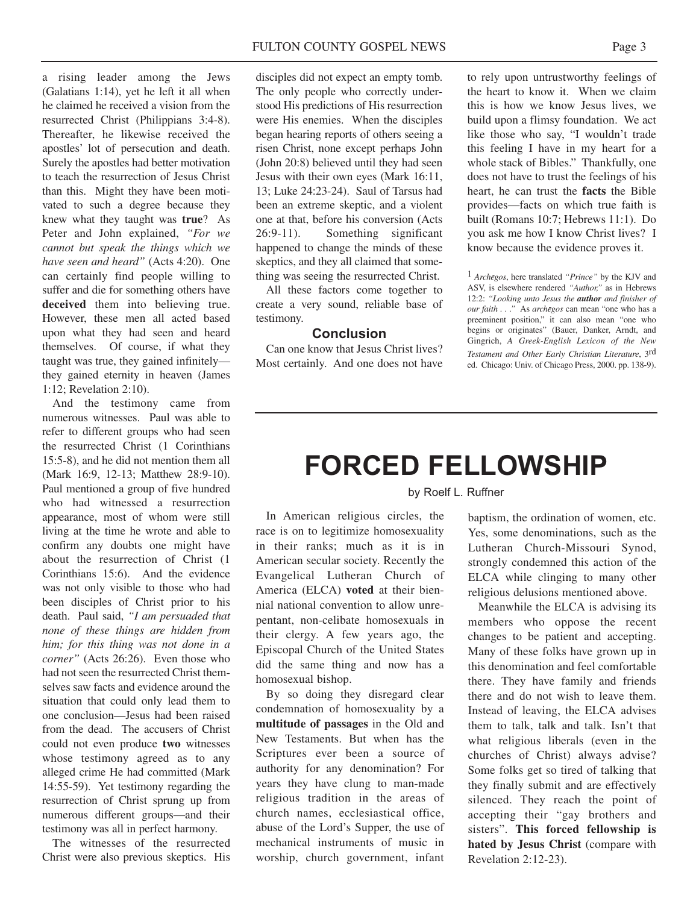a rising leader among the Jews (Galatians 1:14), yet he left it all when he claimed he received a vision from the resurrected Christ (Philippians 3:4-8). Thereafter, he likewise received the apostles' lot of persecution and death. Surely the apostles had better motivation to teach the resurrection of Jesus Christ than this. Might they have been motivated to such a degree because they knew what they taught was **true**? As Peter and John explained, *"For we cannot but speak the things which we have seen and heard"* (Acts 4:20). One can certainly find people willing to suffer and die for something others have **deceived** them into believing true. However, these men all acted based upon what they had seen and heard themselves. Of course, if what they taught was true, they gained infinitely they gained eternity in heaven (James 1:12; Revelation 2:10).

And the testimony came from numerous witnesses. Paul was able to refer to different groups who had seen the resurrected Christ (1 Corinthians 15:5-8), and he did not mention them all (Mark 16:9, 12-13; Matthew 28:9-10). Paul mentioned a group of five hundred who had witnessed a resurrection appearance, most of whom were still living at the time he wrote and able to confirm any doubts one might have about the resurrection of Christ (1 Corinthians 15:6). And the evidence was not only visible to those who had been disciples of Christ prior to his death. Paul said, *"I am persuaded that none of these things are hidden from him; for this thing was not done in a corner"* (Acts 26:26). Even those who had not seen the resurrected Christ themselves saw facts and evidence around the situation that could only lead them to one conclusion—Jesus had been raised from the dead. The accusers of Christ could not even produce **two** witnesses whose testimony agreed as to any alleged crime He had committed (Mark 14:55-59). Yet testimony regarding the resurrection of Christ sprung up from numerous different groups—and their testimony was all in perfect harmony.

The witnesses of the resurrected Christ were also previous skeptics. His disciples did not expect an empty tomb. The only people who correctly understood His predictions of His resurrection were His enemies. When the disciples began hearing reports of others seeing a risen Christ, none except perhaps John (John 20:8) believed until they had seen Jesus with their own eyes (Mark 16:11, 13; Luke 24:23-24). Saul of Tarsus had been an extreme skeptic, and a violent one at that, before his conversion (Acts 26:9-11). Something significant happened to change the minds of these skeptics, and they all claimed that something was seeing the resurrected Christ.

All these factors come together to create a very sound, reliable base of testimony.

#### **Conclusion**

Can one know that Jesus Christ lives? Most certainly. And one does not have to rely upon untrustworthy feelings of the heart to know it. When we claim this is how we know Jesus lives, we build upon a flimsy foundation. We act like those who say, "I wouldn't trade this feeling I have in my heart for a whole stack of Bibles." Thankfully, one does not have to trust the feelings of his heart, he can trust the **facts** the Bible provides—facts on which true faith is built (Romans 10:7; Hebrews 11:1). Do you ask me how I know Christ lives? I know because the evidence proves it.

1 *Archegos*, here translated *"Prince"* by the KJV and ASV, is elsewhere rendered *"Author,"* as in Hebrews 12:2: *"Looking unto Jesus the author and finisher of our faith . . ."* As *archegos* can mean "one who has a preeminent position," it can also mean "one who begins or originates" (Bauer, Danker, Arndt, and Gingrich, *A Greek-English Lexicon of the New Testament and Other Early Christian Literature*, 3rd ed. Chicago: Univ. of Chicago Press, 2000. pp. 138-9).

# **FORCED FELLOWSHIP**

### by Roelf L. Ruffner

In American religious circles, the race is on to legitimize homosexuality in their ranks; much as it is in American secular society. Recently the Evangelical Lutheran Church of America (ELCA) **voted** at their biennial national convention to allow unrepentant, non-celibate homosexuals in their clergy. A few years ago, the Episcopal Church of the United States did the same thing and now has a homosexual bishop.

By so doing they disregard clear condemnation of homosexuality by a **multitude of passages** in the Old and New Testaments. But when has the Scriptures ever been a source of authority for any denomination? For years they have clung to man-made religious tradition in the areas of church names, ecclesiastical office, abuse of the Lord's Supper, the use of mechanical instruments of music in worship, church government, infant baptism, the ordination of women, etc. Yes, some denominations, such as the Lutheran Church-Missouri Synod, strongly condemned this action of the ELCA while clinging to many other religious delusions mentioned above.

Meanwhile the ELCA is advising its members who oppose the recent changes to be patient and accepting. Many of these folks have grown up in this denomination and feel comfortable there. They have family and friends there and do not wish to leave them. Instead of leaving, the ELCA advises them to talk, talk and talk. Isn't that what religious liberals (even in the churches of Christ) always advise? Some folks get so tired of talking that they finally submit and are effectively silenced. They reach the point of accepting their "gay brothers and sisters". **This forced fellowship is hated by Jesus Christ** (compare with Revelation 2:12-23).